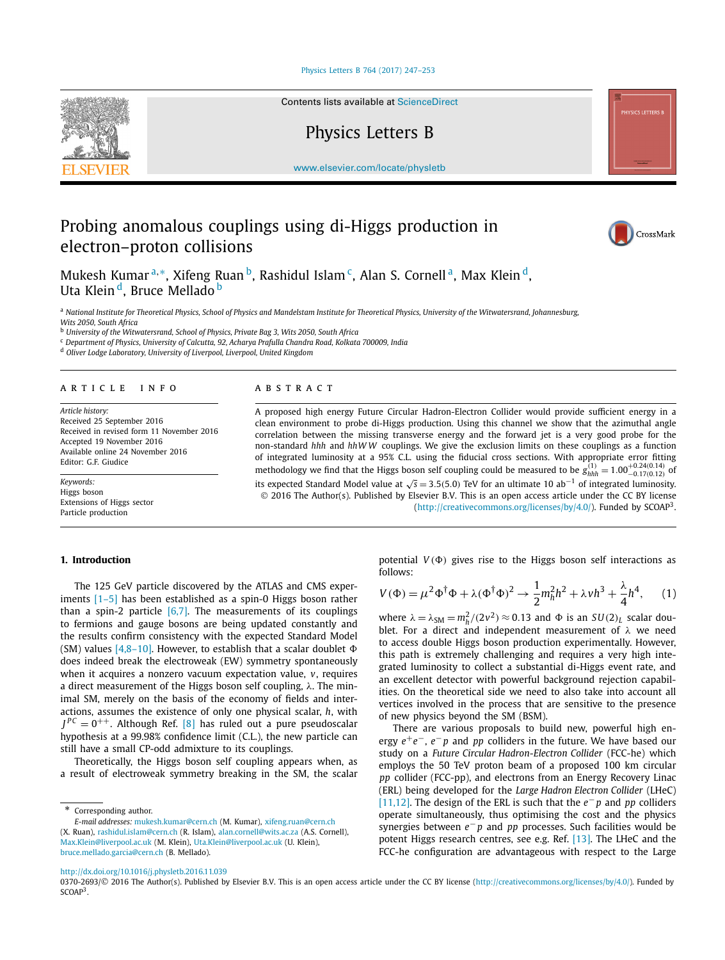### [Physics Letters B 764 \(2017\) 247–253](http://dx.doi.org/10.1016/j.physletb.2016.11.039)

<span id="page-0-0"></span>

Contents lists available at [ScienceDirect](http://www.ScienceDirect.com/)

Physics Letters B

[www.elsevier.com/locate/physletb](http://www.elsevier.com/locate/physletb)

# Probing anomalous couplings using di-Higgs production in electron–proton collisions



Mukesh Kumar<sup>a,∗</sup>, Xifeng Ruan<sup>b</sup>, Rashidul Islam<sup>c</sup>, Alan S. Cornell<sup>a</sup>, Max Klein<sup>d</sup>, Uta Klein<sup>d</sup>, Bruce Mellado<sup>b</sup>

<sup>a</sup> National Institute for Theoretical Physics, School of Physics and Mandelstam Institute for Theoretical Physics, University of the Witwatersrand, Johannesburg, *Wits 2050, South Africa*

<sup>b</sup> *University of the Witwatersrand, School of Physics, Private Bag 3, Wits 2050, South Africa*

<sup>c</sup> *Department of Physics, University of Calcutta, 92, Acharya Prafulla Chandra Road, Kolkata 700009, India*

<sup>d</sup> *Oliver Lodge Laboratory, University of Liverpool, Liverpool, United Kingdom*

### A R T I C L E I N F O A B S T R A C T

*Article history:* Received 25 September 2016 Received in revised form 11 November 2016 Accepted 19 November 2016 Available online 24 November 2016 Editor: G.F. Giudice

*Keywords:* Higgs boson Extensions of Higgs sector Particle production

A proposed high energy Future Circular Hadron-Electron Collider would provide sufficient energy in a clean environment to probe di-Higgs production. Using this channel we show that the azimuthal angle correlation between the missing transverse energy and the forward jet is a very good probe for the non-standard *hhh* and *hhW W* couplings. We give the exclusion limits on these couplings as a function of integrated luminosity at a 95% C.L. using the fiducial cross sections. With appropriate error fitting methodology we find that the Higgs boson self coupling could be measured to be  $g_{hhh}^{(1)} = 1.00_{-0.17(0.12)}^{+0.24(0.14)}$  of its expected Standard Model value at <sup>√</sup>*<sup>s</sup>* <sup>=</sup> <sup>3</sup>*.*5*(*5*.*0*)* TeV for an ultimate 10 ab−<sup>1</sup> of integrated luminosity. © 2016 The Author(s). Published by Elsevier B.V. This is an open access article under the CC BY license [\(http://creativecommons.org/licenses/by/4.0/\)](http://creativecommons.org/licenses/by/4.0/). Funded by SCOAP3.

### **1. Introduction**

The 125 GeV particle discovered by the ATLAS and CMS experiments [\[1–5\]](#page-6-0) has been established as a spin-0 Higgs boson rather than a spin-2 particle  $[6,7]$ . The measurements of its couplings to fermions and gauge bosons are being updated constantly and the results confirm consistency with the expected Standard Model (SM) values [\[4,8–10\].](#page-6-0) However, to establish that a scalar doublet  $\Phi$ does indeed break the electroweak (EW) symmetry spontaneously when it acquires a nonzero vacuum expectation value, *v*, requires a direct measurement of the Higgs boson self coupling, *λ*. The minimal SM, merely on the basis of the economy of fields and interactions, assumes the existence of only one physical scalar, *h*, with  $J^{PC} = 0^{++}$ . Although Ref. [\[8\]](#page-6-0) has ruled out a pure pseudoscalar hypothesis at a 99.98% confidence limit (C.L.), the new particle can still have a small CP-odd admixture to its couplings.

Theoretically, the Higgs boson self coupling appears when, as a result of electroweak symmetry breaking in the SM, the scalar

*E-mail addresses:* [mukesh.kumar@cern.ch](mailto:mukesh.kumar@cern.ch) (M. Kumar), [xifeng.ruan@cern.ch](mailto:xifeng.ruan@cern.ch) (X. Ruan), [rashidul.islam@cern.ch](mailto:rashidul.islam@cern.ch) (R. Islam), [alan.cornell@wits.ac.za](mailto:alan.cornell@wits.ac.za) (A.S. Cornell), [Max.Klein@liverpool.ac.uk](mailto:Max.Klein@liverpool.ac.uk) (M. Klein), [Uta.Klein@liverpool.ac.uk](mailto:Uta.Klein@liverpool.ac.uk) (U. Klein), [bruce.mellado.garcia@cern.ch](mailto:bruce.mellado.garcia@cern.ch) (B. Mellado).

potential  $V(\Phi)$  gives rise to the Higgs boson self interactions as follows:

$$
V(\Phi) = \mu^2 \Phi^\dagger \Phi + \lambda (\Phi^\dagger \Phi)^2 \to \frac{1}{2} m_h^2 h^2 + \lambda v h^3 + \frac{\lambda}{4} h^4,\qquad(1)
$$

where  $\lambda = \lambda_{\text{SM}} = m_h^2/(2v^2) \approx 0.13$  and  $\Phi$  is an  $SU(2)_L$  scalar doublet. For a direct and independent measurement of *λ* we need to access double Higgs boson production experimentally. However, this path is extremely challenging and requires a very high integrated luminosity to collect a substantial di-Higgs event rate, and an excellent detector with powerful background rejection capabilities. On the theoretical side we need to also take into account all vertices involved in the process that are sensitive to the presence of new physics beyond the SM (BSM).

There are various proposals to build new, powerful high energy *e*+*e*−, *e*− *p* and *pp* colliders in the future. We have based our study on a *Future Circular Hadron-Electron Collider* (FCC-he) which employs the 50 TeV proton beam of a proposed 100 km circular *pp* collider (FCC-pp), and electrons from an Energy Recovery Linac (ERL) being developed for the *Large Hadron Electron Collider* (LHeC) [\[11,12\].](#page-6-0) The design of the ERL is such that the *e*− *p* and *pp* colliders operate simultaneously, thus optimising the cost and the physics synergies between *e*− *p* and *pp* processes. Such facilities would be potent Higgs research centres, see e.g. Ref. [\[13\].](#page-6-0) The LHeC and the FCC-he configuration are advantageous with respect to the Large

<http://dx.doi.org/10.1016/j.physletb.2016.11.039>

Corresponding author.

<sup>0370-2693/© 2016</sup> The Author(s). Published by Elsevier B.V. This is an open access article under the CC BY license [\(http://creativecommons.org/licenses/by/4.0/](http://creativecommons.org/licenses/by/4.0/)). Funded by SCOAP<sup>3</sup>.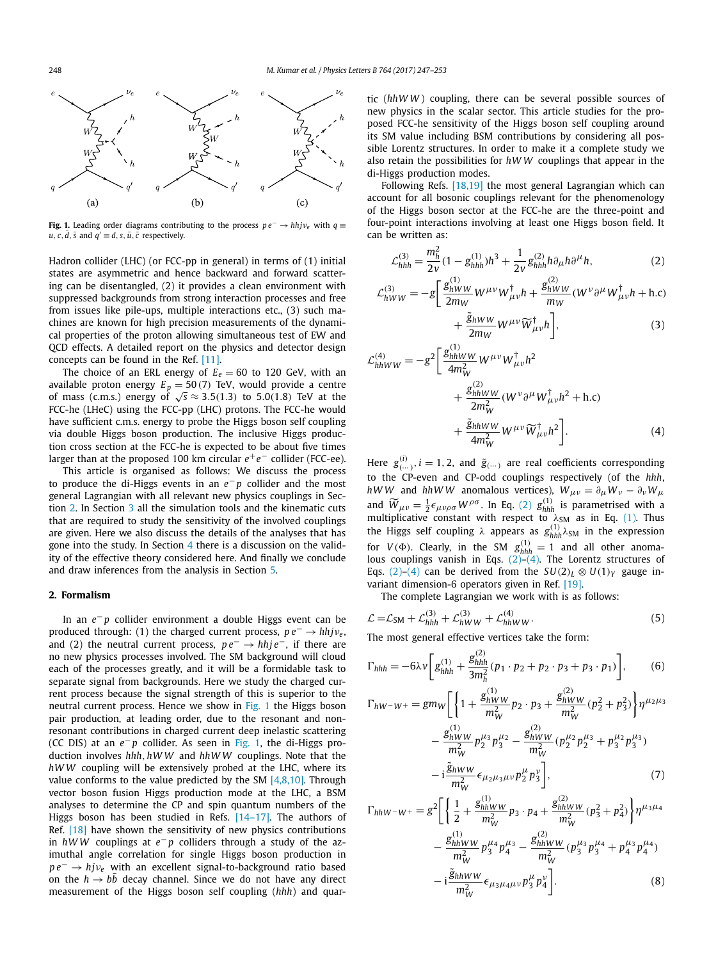<span id="page-1-0"></span>

**Fig. 1.** Leading order diagrams contributing to the process  $pe^{-} \rightarrow hhj\nu_{e}$  with  $q \equiv$  $u, c, \overline{d}, \overline{s}$  and  $\overline{q'} \equiv d, s, \overline{u}, \overline{c}$  respectively.

Hadron collider (LHC) (or FCC-pp in general) in terms of (1) initial states are asymmetric and hence backward and forward scattering can be disentangled, (2) it provides a clean environment with suppressed backgrounds from strong interaction processes and free from issues like pile-ups, multiple interactions etc., (3) such machines are known for high precision measurements of the dynamical properties of the proton allowing simultaneous test of EW and QCD effects. A detailed report on the physics and detector design concepts can be found in the Ref. [\[11\].](#page-6-0)

The choice of an ERL energy of  $E_e = 60$  to 120 GeV, with an available proton energy  $E_p = 50(7)$  TeV, would provide a centre of mass (c.m.s.) energy of  $\sqrt{s} \approx 3.5(1.3)$  to 5.0(1.8) TeV at the FCC-he (LHeC) using the FCC-pp (LHC) protons. The FCC-he would have sufficient c.m.s. energy to probe the Higgs boson self coupling via double Higgs boson production. The inclusive Higgs production cross section at the FCC-he is expected to be about five times larger than at the proposed 100 km circular  $e^+e^-$  collider (FCC-ee).

This article is organised as follows: We discuss the process to produce the di-Higgs events in an *e*− *p* collider and the most general Lagrangian with all relevant new physics couplings in Section 2. In Section [3](#page-2-0) all the simulation tools and the kinematic cuts that are required to study the sensitivity of the involved couplings are given. Here we also discuss the details of the analyses that has gone into the study. In Section [4](#page-5-0) there is a discussion on the validity of the effective theory considered here. And finally we conclude and draw inferences from the analysis in Section [5.](#page-5-0)

### **2. Formalism**

In an *e*− *p* collider environment a double Higgs event can be produced through: (1) the charged current process,  $pe^{-} \rightarrow hhj\nu_{e}$ , and (2) the neutral current process, *p e*<sup>−</sup> → *hhj e*−, if there are no new physics processes involved. The SM background will cloud each of the processes greatly, and it will be a formidable task to separate signal from backgrounds. Here we study the charged current process because the signal strength of this is superior to the neutral current process. Hence we show in Fig. 1 the Higgs boson pair production, at leading order, due to the resonant and nonresonant contributions in charged current deep inelastic scattering (CC DIS) at an *e*− *p* collider. As seen in Fig. 1, the di-Higgs production involves *hhh,hWW* and *hhW W* couplings. Note that the *hWW* coupling will be extensively probed at the LHC, where its value conforms to the value predicted by the SM  $[4,8,10]$ . Through vector boson fusion Higgs production mode at the LHC, a BSM analyses to determine the CP and spin quantum numbers of the Higgs boson has been studied in Refs. [\[14–17\].](#page-6-0) The authors of Ref. [\[18\]](#page-6-0) have shown the sensitivity of new physics contributions in *hWW* couplings at *e*− *p* colliders through a study of the azimuthal angle correlation for single Higgs boson production in *p e*<sup>−</sup> → *hj*<sup>*v*</sup>*e* with an excellent signal-to-background ratio based on the  $h \to bb$  decay channel. Since we do not have any direct measurement of the Higgs boson self coupling (*hhh*) and quartic (*hhW W* ) coupling, there can be several possible sources of new physics in the scalar sector. This article studies for the proposed FCC-he sensitivity of the Higgs boson self coupling around its SM value including BSM contributions by considering all possible Lorentz structures. In order to make it a complete study we also retain the possibilities for *hWW* couplings that appear in the di-Higgs production modes.

Following Refs. [\[18,19\]](#page-6-0) the most general Lagrangian which can account for all bosonic couplings relevant for the phenomenology of the Higgs boson sector at the FCC-he are the three-point and four-point interactions involving at least one Higgs boson field. It can be written as:

$$
\mathcal{L}_{hhh}^{(3)} = \frac{m_h^2}{2v} (1 - g_{hhh}^{(1)}) h^3 + \frac{1}{2v} g_{hhh}^{(2)} h \partial_\mu h \partial^\mu h,\tag{2}
$$

$$
\mathcal{L}_{hWW}^{(3)} = -g \left[ \frac{g_{hWW}^{(1)}}{2m_W} W^{\mu\nu} W_{\mu\nu}^{\dagger} h + \frac{g_{hWW}^{(2)}}{m_W} (W^{\nu} \partial^{\mu} W_{\mu\nu}^{\dagger} h + \text{h.c}) \right]
$$

$$
+\frac{\tilde{g}_{hWW}}{2m_W}W^{\mu\nu}\widetilde{W}_{\mu\nu}^{\dagger}h\bigg],\tag{3}
$$

$$
\mathcal{L}_{hhWW}^{(4)} = -g^2 \left[ \frac{g_{hhWW}^{(1)}}{4m_W^2} W^{\mu\nu} W_{\mu\nu}^\dagger h^2 + \frac{g_{hhWW}^{(2)}}{2m_W^2} (W^\nu \partial^\mu W_{\mu\nu}^\dagger h^2 + \text{h.c}) + \frac{\tilde{g}_{hhWW}}{4m_W^2} W^{\mu\nu} \widetilde{W}_{\mu\nu}^\dagger h^2 \right].
$$
\n(4)

Here  $g^{(i)}_{(\cdots)}$ ,  $i = 1, 2$ , and  $\tilde{g}^{(\cdots)}$  are real coefficients corresponding to the CP-even and CP-odd couplings respectively (of the *hhh*, *hWW* and *hhWW* anomalous vertices),  $W_{\mu\nu} = \partial_{\mu}W_{\nu} - \partial_{\nu}W_{\mu}$ and  $\widetilde{W}_{\mu\nu} = \frac{1}{2} \epsilon_{\mu\nu\rho\sigma} W^{\rho\sigma}$ . In Eq. (2)  $g_{hhh}^{(1)}$  is parametrised with a multiplicative constant with respect to  $\lambda_{SM}$  as in Eq. [\(1\).](#page-0-0) Thus the Higgs self coupling  $\lambda$  appears as  $g_{hhh}^{(1)} \lambda_{SM}$  in the expression for *V*( $\Phi$ ). Clearly, in the SM  $g_{hhh}^{(1)} = 1$  and all other anomalous couplings vanish in Eqs. (2)–(4). The Lorentz structures of Eqs. (2)–(4) can be derived from the  $SU(2)_L \otimes U(1)_Y$  gauge invariant dimension-6 operators given in Ref. [\[19\].](#page-6-0)

The complete Lagrangian we work with is as follows:

$$
\mathcal{L} = \mathcal{L}_{\text{SM}} + \mathcal{L}_{hhh}^{(3)} + \mathcal{L}_{hWW}^{(3)} + \mathcal{L}_{hhWW}^{(4)}.
$$
 (5)

The most general effective vertices take the form:

$$
\Gamma_{hhh} = -6\lambda v \bigg[ g_{hhh}^{(1)} + \frac{g_{hhh}^{(2)}}{3m_h^2} (p_1 \cdot p_2 + p_2 \cdot p_3 + p_3 \cdot p_1) \bigg],\qquad (6)
$$

$$
\Gamma_{hW-W^{+}} = gm_{W} \left[ \left\{ 1 + \frac{g_{hWW}^{(1)}}{m_W^2} p_2 \cdot p_3 + \frac{g_{hWW}^{(2)}}{m_W^2} (p_2^2 + p_3^2) \right\} \eta^{\mu_2 \mu_3} - \frac{g_{hWW}^{(1)}}{m_W^2} p_2^{\mu_3} p_3^{\mu_2} - \frac{g_{hWW}^{(2)}}{m_W^2} (p_2^{\mu_2} p_2^{\mu_3} + p_3^{\mu_2} p_3^{\mu_3}) - i \frac{\tilde{g}_{hWW}}{m_W^2} \epsilon_{\mu_2 \mu_3 \mu \nu} p_2^{\mu} p_3^{\nu} \right], \tag{7}
$$

$$
\Gamma_{hhW-W^{+}} = g^{2} \left[ \left\{ \frac{1}{2} + \frac{g_{hhWW}^{(1)}}{m_{W}^{2}} p_{3} \cdot p_{4} + \frac{g_{hhWW}^{(2)}}{m_{W}^{2}} (p_{3}^{2} + p_{4}^{2}) \right\} \eta^{\mu_{3}\mu_{4}} - \frac{g_{hhWW}^{(1)}}{m_{W}^{2}} p_{3}^{\mu_{4}} p_{4}^{\mu_{3}} - \frac{g_{hhWW}^{(2)}}{m_{W}^{2}} (p_{3}^{\mu_{3}} p_{3}^{\mu_{4}} + p_{4}^{\mu_{3}} p_{4}^{\mu_{4}}) - i \frac{\tilde{g}_{hhWW}}{m_{W}^{2}} \epsilon_{\mu_{3}\mu_{4}\mu\nu} p_{3}^{\mu} p_{4}^{\nu} \right].
$$
\n(8)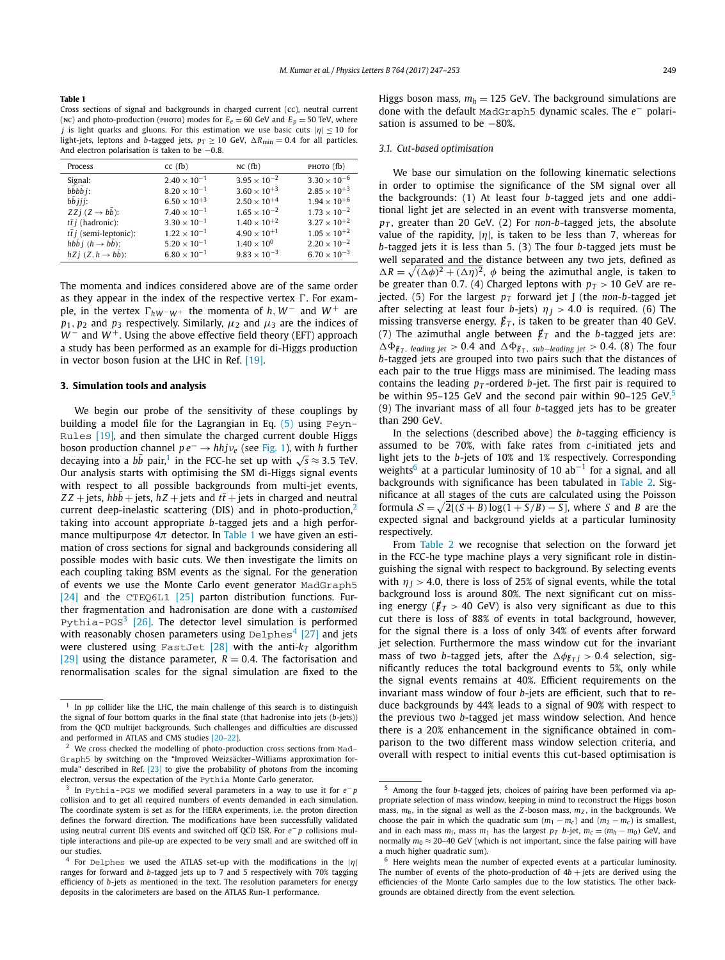#### <span id="page-2-0"></span>**Table 1**

Cross sections of signal and backgrounds in charged current (cc), neutral current (NC) and photo-production (PHOTO) modes for  $E_e = 60$  GeV and  $E_p = 50$  TeV, where *j* is light quarks and gluons. For this estimation we use basic cuts  $|n| < 10$  for light-jets, leptons and *b*-tagged jets,  $p_T \ge 10$  GeV,  $\Delta R_{\text{min}} = 0.4$  for all particles. And electron polarisation is taken to be −0*.*8.

| Process                              | $cc$ (fb)             | NC(fb)                | PHOTO (fb)            |
|--------------------------------------|-----------------------|-----------------------|-----------------------|
| Signal:                              | $2.40 \times 10^{-1}$ | $3.95 \times 10^{-2}$ | $3.30 \times 10^{-6}$ |
| $b\bar{b}b\bar{b}$ i:                | $8.20 \times 10^{-1}$ | $3.60 \times 10^{+3}$ | $2.85 \times 10^{+3}$ |
| bb iii:                              | $6.50 \times 10^{+3}$ | $2.50 \times 10^{+4}$ | $1.94 \times 10^{+6}$ |
| $ZZi (Z \rightarrow bb)$ :           | $7.40 \times 10^{-1}$ | $1.65 \times 10^{-2}$ | $1.73 \times 10^{-2}$ |
| $t\bar{t}$ <i>i</i> (hadronic):      | $3.30 \times 10^{-1}$ | $1.40 \times 10^{+2}$ | $3.27 \times 10^{+2}$ |
| $t\bar{t}$ <i>j</i> (semi-leptonic): | $1.22 \times 10^{-1}$ | $4.90 \times 10^{+1}$ | $1.05 \times 10^{+2}$ |
| hbb $i(h \rightarrow bb)$ :          | $5.20 \times 10^{-1}$ | $1.40 \times 10^{0}$  | $2.20 \times 10^{-2}$ |
| $hZj(Z, h \rightarrow b\bar{b})$ :   | $6.80 \times 10^{-1}$ | $9.83 \times 10^{-3}$ | $6.70 \times 10^{-3}$ |

The momenta and indices considered above are of the same order as they appear in the index of the respective vertex  $\Gamma$ . For example, in the vertex  $\Gamma_{hW^-W^+}$  the momenta of *h*,  $W^-$  and  $W^+$  are  $p_1$ ,  $p_2$  and  $p_3$  respectively. Similarly,  $\mu_2$  and  $\mu_3$  are the indices of *W*<sup>−</sup> and *W*<sup>+</sup>. Using the above effective field theory (EFT) approach a study has been performed as an example for di-Higgs production in vector boson fusion at the LHC in Ref. [\[19\].](#page-6-0)

### **3. Simulation tools and analysis**

We begin our probe of the sensitivity of these couplings by building a model file for the Lagrangian in Eq. [\(5\)](#page-1-0) using Feyn-Rules [\[19\],](#page-6-0) and then simulate the charged current double Higgs boson production channel  $pe^{-} \rightarrow hhj\nu_{e}$  (see [Fig. 1\)](#page-1-0), with *h* further decaying into a *b*<sup> $\bar{b}$ </sup> pair,<sup>1</sup> in the FCC-he set up with  $\sqrt{s} \approx 3.5$  TeV. Our analysis starts with optimising the SM di-Higgs signal events with respect to all possible backgrounds from multi-jet events,  $ZZ$  + jets,  $hbb$  + jets,  $hZ$  + jets and  $tt$  + jets in charged and neutral current deep-inelastic scattering (DIS) and in photo-production, $<sup>2</sup>$ </sup> taking into account appropriate *b*-tagged jets and a high performance multipurpose 4*π* detector. In Table 1 we have given an estimation of cross sections for signal and backgrounds considering all possible modes with basic cuts. We then investigate the limits on each coupling taking BSM events as the signal. For the generation of events we use the Monte Carlo event generator MadGraph5 [\[24\]](#page-6-0) and the CTEQ6L1 [\[25\]](#page-6-0) parton distribution functions. Further fragmentation and hadronisation are done with a *customised* Pythia-PGS<sup>3</sup> [26]. The detector level simulation is performed with reasonably chosen parameters using  $Delphes<sup>4</sup>$  [27] and jets were clustered using FastJet  $[28]$  with the anti- $k<sub>T</sub>$  algorithm [\[29\]](#page-6-0) using the distance parameter,  $R = 0.4$ . The factorisation and renormalisation scales for the signal simulation are fixed to the Higgs boson mass,  $m_h = 125$  GeV. The background simulations are done with the default MadGraph5 dynamic scales. The *e*− polarisation is assumed to be -80%.

### *3.1. Cut-based optimisation*

We base our simulation on the following kinematic selections in order to optimise the significance of the SM signal over all the backgrounds: (1) At least four *b*-tagged jets and one additional light jet are selected in an event with transverse momenta, *pT* , greater than 20 GeV. (2) For *non*-*b*-tagged jets, the absolute value of the rapidity,  $|\eta|$ , is taken to be less than 7, whereas for *b*-tagged jets it is less than 5. (3) The four *b*-tagged jets must be well separated and the distance between any two jets, defined as  $\Delta R = \sqrt{(\Delta \phi)^2 + (\Delta \eta)^2}$ ,  $\phi$  being the azimuthal angle, is taken to be greater than 0.7. (4) Charged leptons with  $p_T > 10$  GeV are rejected. (5) For the largest  $p_T$  forward jet J (the *non-b-tagged* jet after selecting at least four *b*-jets)  $\eta$  *j* > 4.0 is required. (6) The missing transverse energy,  $\not{\!\not\!{E}}_T$ , is taken to be greater than 40 GeV. (7) The azimuthal angle between  $\not{E}_T$  and the *b*-tagged jets are:  $\Delta \Phi_{\text{F}_T}$ , *leading jet* > 0.4 and  $\Delta \Phi_{\text{F}_T}$ , *sub*−*leading jet* > 0.4. (8) The four *b*-tagged jets are grouped into two pairs such that the distances of each pair to the true Higgs mass are minimised. The leading mass contains the leading  $p_T$ -ordered *b*-jet. The first pair is required to be within 95-125 GeV and the second pair within 90-125 GeV.<sup>5</sup> (9) The invariant mass of all four *b*-tagged jets has to be greater than 290 GeV.

In the selections (described above) the *b*-tagging efficiency is assumed to be 70%, with fake rates from *c*-initiated jets and light jets to the *b*-jets of 10% and 1% respectively. Corresponding weights<sup>6</sup> at a particular luminosity of 10  $ab^{-1}$  for a signal, and all backgrounds with significance has been tabulated in [Table 2.](#page-3-0) Significance at all stages of the cuts are calculated using the Poisson formula  $S = \sqrt{2[(S + B) \log(1 + S/B) - S]}$ , where *S* and *B* are the expected signal and background yields at a particular luminosity respectively.

From [Table 2](#page-3-0) we recognise that selection on the forward jet in the FCC-he type machine plays a very significant role in distinguishing the signal with respect to background. By selecting events with  $\eta$ <sub>I</sub> > 4.0, there is loss of 25% of signal events, while the total background loss is around 80%. The next significant cut on missing energy ( $/\,\llap E_T > 40$  GeV) is also very significant as due to this cut there is loss of 88% of events in total background, however, for the signal there is a loss of only 34% of events after forward jet selection. Furthermore the mass window cut for the invariant mass of two *b*-tagged jets, after the  $\Delta \phi_{E}$  *T*  $> 0.4$  selection, significantly reduces the total background events to 5%, only while the signal events remains at 40%. Efficient requirements on the invariant mass window of four *b*-jets are efficient, such that to reduce backgrounds by 44% leads to a signal of 90% with respect to the previous two *b*-tagged jet mass window selection. And hence there is a 20% enhancement in the significance obtained in comparison to the two different mass window selection criteria, and overall with respect to initial events this cut-based optimisation is

In *pp* collider like the LHC, the main challenge of this search is to distinguish the signal of four bottom quarks in the final state (that hadronise into jets (*b*-jets)) from the QCD multijet backgrounds. Such challenges and difficulties are discussed and performed in ATLAS and CMS studies [\[20–22\].](#page-6-0)

<sup>2</sup> We cross checked the modelling of photo-production cross sections from Mad-Graph5 by switching on the "Improved Weizsäcker–Williams approximation formula" described in Ref. [\[23\]](#page-6-0) to give the probability of photons from the incoming electron, versus the expectation of the Pythia Monte Carlo generator.

<sup>3</sup> In Pythia-PGS we modified several parameters in a way to use it for *e*<sup>−</sup> *p* collision and to get all required numbers of events demanded in each simulation. The coordinate system is set as for the HERA experiments, i.e. the proton direction defines the forward direction. The modifications have been successfully validated using neutral current DIS events and switched off QCD ISR. For *e*− *p* collisions multiple interactions and pile-up are expected to be very small and are switched off in our studies.

<sup>4</sup> For Delphes we used the ATLAS set-up with the modifications in the |*η*| ranges for forward and *b*-tagged jets up to 7 and 5 respectively with 70% tagging efficiency of *b*-jets as mentioned in the text. The resolution parameters for energy deposits in the calorimeters are based on the ATLAS Run-1 performance.

<sup>5</sup> Among the four *b*-tagged jets, choices of pairing have been performed via appropriate selection of mass window, keeping in mind to reconstruct the Higgs boson mass,  $m_h$ , in the signal as well as the *Z*-boson mass,  $m_Z$ , in the backgrounds. We choose the pair in which the quadratic sum  $(m_1 - m_c)$  and  $(m_2 - m_c)$  is smallest, and in each mass  $m_i$ , mass  $m_1$  has the largest  $p_T$  *b*-jet,  $m_c = (m_h - m_0)$  GeV, and normally  $m_0 \approx 20-40$  GeV (which is not important, since the false pairing will have a much higher quadratic sum).

 $6$  Here weights mean the number of expected events at a particular luminosity. The number of events of the photo-production of  $4b +$  jets are derived using the efficiencies of the Monte Carlo samples due to the low statistics. The other backgrounds are obtained directly from the event selection.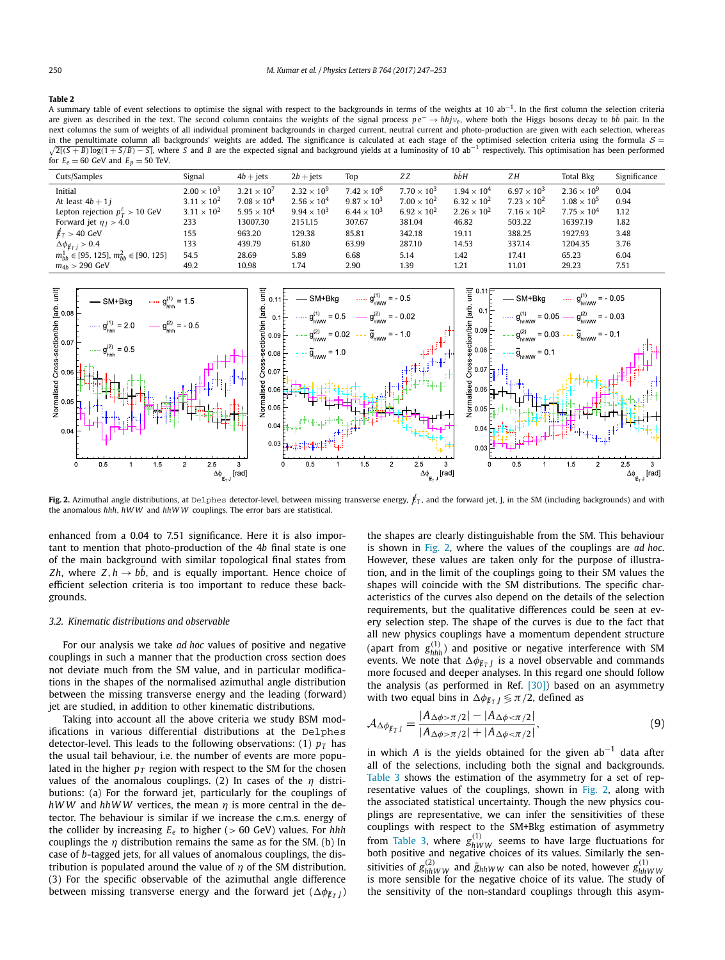#### <span id="page-3-0"></span>**Table 2**

A summary table of event selections to optimise the signal with respect to the backgrounds in terms of the weights at 10 ab<sup>-1</sup>. In the first column the selection criteria are given as described in the text. The second column contains the weights of the signal process  $pe^-$  →  $hhy_e$ , where both the Higgs bosons decay to *bb* pair. In the next columns the sum of weights of all individual prominent backgrounds in charged current, neutral current and photo-production are given with each selection, whereas  $\sqrt{2[(S+B)\log(1+S/B)-S]}$ , where S and B are the expected signal and background yields at a luminosity of 10 ab<sup>-1</sup> respectively. This optimisation has been performed in the penultimate column all backgrounds' weights are added. The significance is calculated at each stage of the optimised selection criteria using the formula  $S =$ for  $E_e = 60$  GeV and  $E_p = 50$  TeV.

| Cuts/Samples                                        | Signal               | $4b + \text{jets}$   | $2b + \text{jets}$   | Top                           | ZΖ                   | bbH                  | ZΗ                   | Total Bkg            | Significance |
|-----------------------------------------------------|----------------------|----------------------|----------------------|-------------------------------|----------------------|----------------------|----------------------|----------------------|--------------|
| Initial                                             | $2.00 \times 10^{3}$ | $3.21 \times 10^{7}$ | $2.32 \times 10^{9}$ | $7.42 \times 10^6$            | $7.70 \times 10^{3}$ | $1.94 \times 10^{4}$ | $6.97 \times 10^{3}$ | $2.36 \times 10^{9}$ | 0.04         |
| At least $4b + 1i$                                  | $3.11 \times 10^{2}$ | $7.08 \times 10^{4}$ | $2.56 \times 10^{4}$ | $9.87 \times 10^{3}$          | $7.00 \times 10^{2}$ | $6.32 \times 10^{2}$ | $7.23 \times 10^{2}$ | $1.08 \times 10^{5}$ | 0.94         |
| Lepton rejection $p_T^{\ell} > 10$ GeV              | $3.11 \times 10^{2}$ | $5.95 \times 10^{4}$ | $9.94 \times 10^{3}$ | 6.44 $\times$ 10 <sup>3</sup> | $6.92 \times 10^{2}$ | $2.26 \times 10^{2}$ | $7.16 \times 10^{2}$ | $7.75 \times 10^{4}$ | 1.12         |
| Forward jet $\eta_1 > 4.0$                          | 233                  | 13007.30             | 2151.15              | 307.67                        | 381.04               | 46.82                | 503.22               | 16397.19             | 1.82         |
| $E_T > 40$ GeV                                      | 155                  | 963.20               | 129.38               | 85.81                         | 342.18               | 19.11                | 388.25               | 1927.93              | 3.48         |
| $\Delta \phi_{\ell r,i} > 0.4$                      | 133                  | 439.79               | 61.80                | 63.99                         | 287.10               | 14.53                | 337.14               | 1204.35              | 3.76         |
| $m_{hh}^1 \in [95, 125]$ , $m_{hh}^2 \in [90, 125]$ | 54.5                 | 28.69                | 5.89                 | 6.68                          | 5.14                 | 1.42                 | 17.41                | 65.23                | 6.04         |
| $m_{4h} > 290 \text{ GeV}$                          | 49.2                 | 10.98                | 1.74                 | 2.90                          | 1.39                 | 1.21                 | 11.01                | 29.23                | 7.51         |



**Fig. 2.** Azimuthal angle distributions, at Delphes detector-level, between missing transverse energy,  $\not\! E_T$ , and the forward jet, J, in the SM (including backgrounds) and with the anomalous *hhh*, *hWW* and *hhW W* couplings. The error bars are statistical.

enhanced from a 0.04 to 7.51 significance. Here it is also important to mention that photo-production of the 4*b* final state is one of the main background with similar topological final states from  $Zh$ , where  $Z, h \rightarrow bb$ , and is equally important. Hence choice of efficient selection criteria is too important to reduce these backgrounds.

### *3.2. Kinematic distributions and observable*

For our analysis we take *ad hoc* values of positive and negative couplings in such a manner that the production cross section does not deviate much from the SM value, and in particular modifications in the shapes of the normalised azimuthal angle distribution between the missing transverse energy and the leading (forward) jet are studied, in addition to other kinematic distributions.

Taking into account all the above criteria we study BSM modifications in various differential distributions at the Delphes detector-level. This leads to the following observations: (1)  $p<sub>T</sub>$  has the usual tail behaviour, i.e. the number of events are more populated in the higher  $p<sub>T</sub>$  region with respect to the SM for the chosen values of the anomalous couplings. (2) In cases of the *η* distributions: (a) For the forward jet, particularly for the couplings of *hWW* and *hhW W* vertices, the mean *η* is more central in the detector. The behaviour is similar if we increase the c.m.s. energy of the collider by increasing *Ee* to higher (*>* 60 GeV) values. For *hhh* couplings the *η* distribution remains the same as for the SM. (b) In case of *b*-tagged jets, for all values of anomalous couplings, the distribution is populated around the value of *η* of the SM distribution. (3) For the specific observable of the azimuthal angle difference between missing transverse energy and the forward jet  $(\Delta \phi_{E_T})$ 

the shapes are clearly distinguishable from the SM. This behaviour is shown in Fig. 2, where the values of the couplings are *ad hoc*. However, these values are taken only for the purpose of illustration, and in the limit of the couplings going to their SM values the shapes will coincide with the SM distributions. The specific characteristics of the curves also depend on the details of the selection requirements, but the qualitative differences could be seen at every selection step. The shape of the curves is due to the fact that all new physics couplings have a momentum dependent structure (apart from  $g_{hhh}^{(1)}$ ) and positive or negative interference with SM events. We note that  $\Delta \phi_{E_T}$  *is a novel observable and commands* more focused and deeper analyses. In this regard one should follow the analysis (as performed in Ref.  $[30]$ ) based on an asymmetry with two equal bins in  $\Delta \phi_{E_T}$  /  $\leq \pi/2$ , defined as

$$
\mathcal{A}_{\Delta\phi_{f_TJ}} = \frac{|A_{\Delta\phi>\pi/2}| - |A_{\Delta\phi<\pi/2}|}{|A_{\Delta\phi>\pi/2}| + |A_{\Delta\phi<\pi/2}|},\tag{9}
$$

in which *A* is the yields obtained for the given ab<sup>-1</sup> data after all of the selections, including both the signal and backgrounds. [Table 3](#page-4-0) shows the estimation of the asymmetry for a set of representative values of the couplings, shown in Fig. 2, along with the associated statistical uncertainty. Though the new physics couplings are representative, we can infer the sensitivities of these couplings with respect to the SM+Bkg estimation of asymmetry from [Table 3,](#page-4-0) where  $g_{hWW}^{(1)}$  seems to have large fluctuations for both positive and negative choices of its values. Similarly the sensitivities of  $g_{hhWW}^{(2)}$  and  $\tilde{g}_{hhWW}$  can also be noted, however  $g_{hhWW}^{(1)}$  is more sensible for the negative choice of its value. The study of the sensitivity of the non-standard couplings through this asym-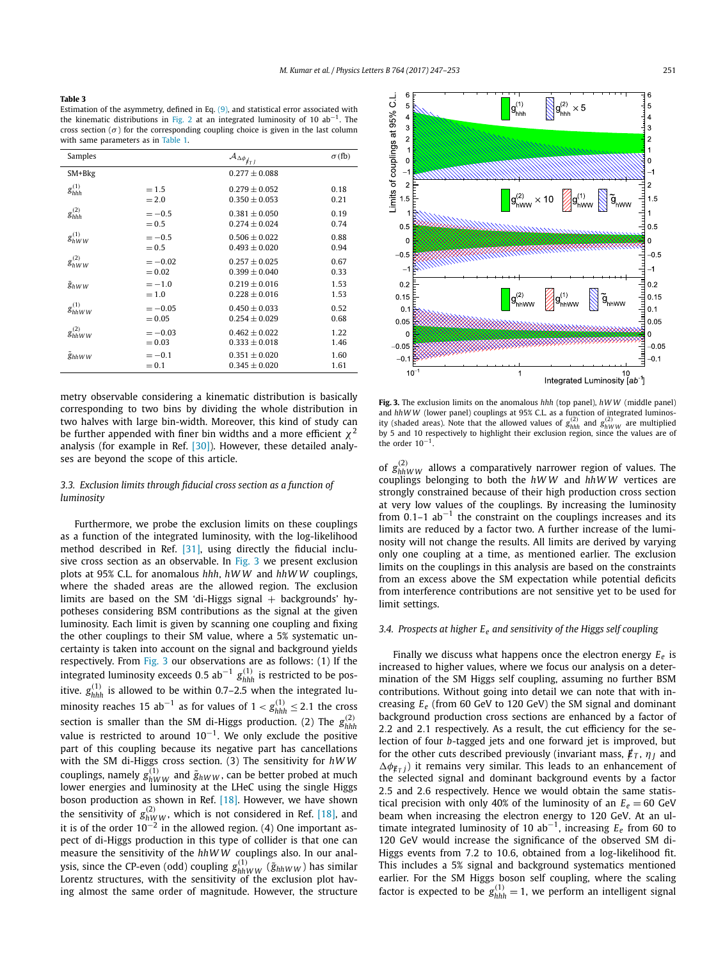#### <span id="page-4-0"></span>**Table 3**

Estimation of the asymmetry, defined in Eq. [\(9\),](#page-3-0) and statistical error associated with the kinematic distributions in [Fig. 2](#page-3-0) at an integrated luminosity of 10  $ab^{-1}$ . The cross section ( $\sigma$ ) for the corresponding coupling choice is given in the last column with same parameters as in [Table 1.](#page-2-0)

| Samples             |          | $\mathcal{A}_{\Delta\phi_{\not{\!\!E_{\!\!T}}\underline{\hspace{0.1cm}J}}}$ | $\sigma$ (fb) |
|---------------------|----------|-----------------------------------------------------------------------------|---------------|
| SM+Bkg              |          | $0.277 \pm 0.088$                                                           |               |
| $g_{hhh}^{(1)}$     | $=1.5$   | $0.279 \pm 0.052$                                                           | 0.18          |
|                     | $= 2.0$  | $0.350 \pm 0.053$                                                           | 0.21          |
| $g_{hhh}^{(2)}$     | $=-0.5$  | $0.381 + 0.050$                                                             | 0.19          |
|                     | $= 0.5$  | $0.274 + 0.024$                                                             | 0.74          |
| $g_{hWW}^{(1)}$     | $=-0.5$  | $0.506 \pm 0.022$                                                           | 0.88          |
|                     | $= 0.5$  | $0.493 + 0.020$                                                             | 0.94          |
| $g_{hWW}^{(2)}$     | $=-0.02$ | $0.257 \pm 0.025$                                                           | 0.67          |
|                     | $= 0.02$ | $0.399 \pm 0.040$                                                           | 0.33          |
| $\tilde{g}_{hWW}$   | $=-1.0$  | $0.219 + 0.016$                                                             | 1.53          |
|                     | $=1.0$   | $0.228 + 0.016$                                                             | 1.53          |
| $g_{h h W W}^{(1)}$ | $=-0.05$ | $0.450 \pm 0.033$                                                           | 0.52          |
|                     | $= 0.05$ | $0.254 + 0.029$                                                             | 0.68          |
| $g_{h h W W}^{(2)}$ | $=-0.03$ | $0.462 + 0.022$                                                             | 1.22          |
|                     | $= 0.03$ | $0.333 \pm 0.018$                                                           | 1.46          |
| <b><i>Shhww</i></b> | $=-0.1$  | $0.351 \pm 0.020$                                                           | 1.60          |
|                     | $= 0.1$  | $0.345 \pm 0.020$                                                           | 1.61          |

metry observable considering a kinematic distribution is basically corresponding to two bins by dividing the whole distribution in two halves with large bin-width. Moreover, this kind of study can be further appended with finer bin widths and a more efficient  $\chi^2$ analysis (for example in Ref. [\[30\]\)](#page-6-0). However, these detailed analyses are beyond the scope of this article.

### *3.3. Exclusion limits through fiducial cross section as a function of luminosity*

Furthermore, we probe the exclusion limits on these couplings as a function of the integrated luminosity, with the log-likelihood method described in Ref. [\[31\],](#page-6-0) using directly the fiducial inclusive cross section as an observable. In Fig. 3 we present exclusion plots at 95% C.L. for anomalous *hhh*, *hWW* and *hhW W* couplings, where the shaded areas are the allowed region. The exclusion limits are based on the SM 'di-Higgs signal  $+$  backgrounds' hypotheses considering BSM contributions as the signal at the given luminosity. Each limit is given by scanning one coupling and fixing the other couplings to their SM value, where a 5% systematic uncertainty is taken into account on the signal and background yields respectively. From Fig. 3 our observations are as follows: (1) If the integrated luminosity exceeds <sup>0</sup>*.*5 ab−<sup>1</sup> *<sup>g</sup>(*1*) hhh* is restricted to be positive.  $g_{hhh}^{(1)}$  is allowed to be within 0.7–2.5 when the integrated luminosity reaches 15 ab<sup>-1</sup> as for values of  $1 < g_{hhh}^{(1)} \le 2.1$  the cross section is smaller than the SM di-Higgs production. (2) The *g(*2*) hhh* value is restricted to around  $10^{-1}$ . We only exclude the positive part of this coupling because its negative part has cancellations with the SM di-Higgs cross section. (3) The sensitivity for *hWW* couplings, namely  $g_{hWW}^{(1)}$  and  $\tilde{g}_{hWW}$ , can be better probed at much lower energies and luminosity at the LHeC using the single Higgs boson production as shown in Ref. [\[18\].](#page-6-0) However, we have shown the sensitivity of  $g_{hWW}^{(2)}$ , which is not considered in Ref. [\[18\],](#page-6-0) and it is of the order  $10^{-2}$  in the allowed region. (4) One important aspect of di-Higgs production in this type of collider is that one can measure the sensitivity of the *hhW W* couplings also. In our analysis, since the CP-even (odd) coupling  $g_{hhWW}^{(1)}$  ( $\tilde{g}_{hhWW}$ ) has similar Lorentz structures, with the sensitivity of the exclusion plot having almost the same order of magnitude. However, the structure



**Fig. 3.** The exclusion limits on the anomalous *hhh* (top panel), *hWW* (middle panel) and hhWW (lower panel) couplings at 95% C.L. as a function of integrated luminos-<br>ity (shaded areas). Note that the allowed values of  $g_{hhh}^{(2)}$  and  $g_{hWW}^{(2)}$  are multiplied by 5 and 10 respectively to highlight their exclusion region, since the values are of the order 10<sup>−</sup>1.

of  $g_{hhWW}^{(2)}$  allows a comparatively narrower region of values. The couplings belonging to both the *hWW* and *hhW W* vertices are strongly constrained because of their high production cross section at very low values of the couplings. By increasing the luminosity from  $0.1-1$  ab<sup>-1</sup> the constraint on the couplings increases and its limits are reduced by a factor two. A further increase of the luminosity will not change the results. All limits are derived by varying only one coupling at a time, as mentioned earlier. The exclusion limits on the couplings in this analysis are based on the constraints from an excess above the SM expectation while potential deficits from interference contributions are not sensitive yet to be used for limit settings.

### *3.4. Prospects at higher Ee and sensitivity of the Higgs self coupling*

Finally we discuss what happens once the electron energy  $E_e$  is increased to higher values, where we focus our analysis on a determination of the SM Higgs self coupling, assuming no further BSM contributions. Without going into detail we can note that with increasing *Ee* (from 60 GeV to 120 GeV) the SM signal and dominant background production cross sections are enhanced by a factor of 2*.*2 and 2*.*1 respectively. As a result, the cut efficiency for the selection of four *b*-tagged jets and one forward jet is improved, but for the other cuts described previously (invariant mass,  $\rlap{\,/}E_T$ ,  $\eta_I$  and  $\Delta \phi_{E}$ <sup>*T*</sup> *j*) it remains very similar. This leads to an enhancement of the selected signal and dominant background events by a factor 2*.*5 and 2*.*6 respectively. Hence we would obtain the same statistical precision with only 40% of the luminosity of an  $E_e = 60$  GeV beam when increasing the electron energy to 120 GeV. At an ultimate integrated luminosity of 10 ab<sup>−</sup>1, increasing *Ee* from 60 to 120 GeV would increase the significance of the observed SM di-Higgs events from 7*.*2 to 10*.*6, obtained from a log-likelihood fit. This includes a 5% signal and background systematics mentioned earlier. For the SM Higgs boson self coupling, where the scaling factor is expected to be  $g_{hhh}^{(1)} = 1$ , we perform an intelligent signal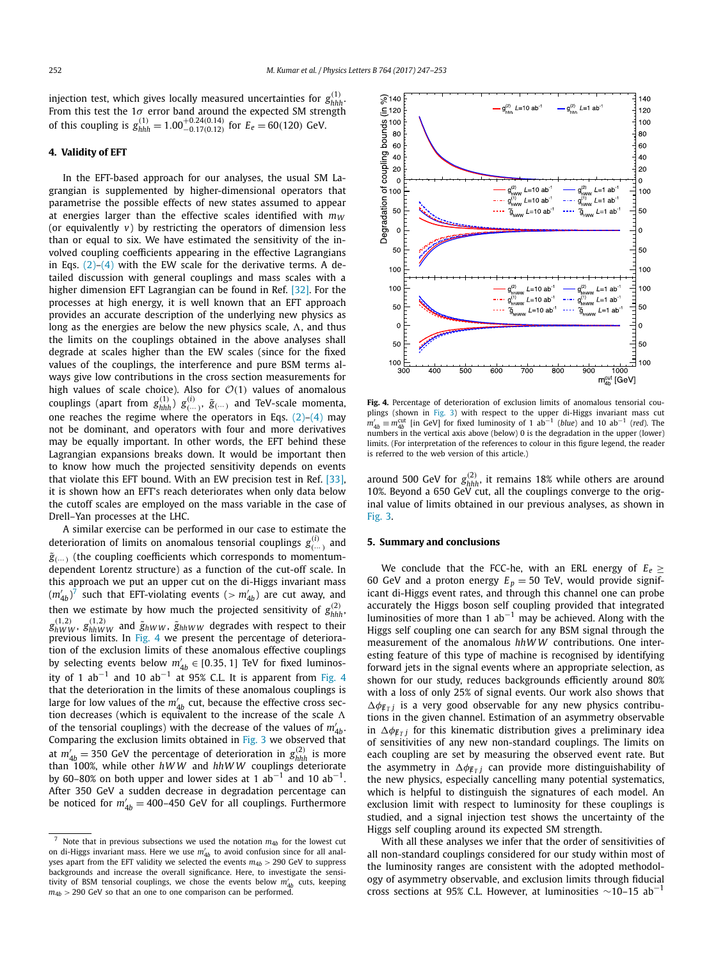<span id="page-5-0"></span>injection test, which gives locally measured uncertainties for  $g_{hhh}^{(1)}$ . From this test the 1*σ* error band around the expected SM strength of this coupling is  $g_{hhh}^{(1)} = 1.00_{-0.17(0.12)}^{+0.24(0.14)}$  for  $E_e = 60(120)$  GeV.

## **4. Validity of EFT**

In the EFT-based approach for our analyses, the usual SM Lagrangian is supplemented by higher-dimensional operators that parametrise the possible effects of new states assumed to appear at energies larger than the effective scales identified with  $m_W$ (or equivalently *v*) by restricting the operators of dimension less than or equal to six. We have estimated the sensitivity of the involved coupling coefficients appearing in the effective Lagrangians in Eqs.  $(2)$ – $(4)$  with the EW scale for the derivative terms. A detailed discussion with general couplings and mass scales with a higher dimension EFT Lagrangian can be found in Ref. [\[32\].](#page-6-0) For the processes at high energy, it is well known that an EFT approach provides an accurate description of the underlying new physics as long as the energies are below the new physics scale,  $\Lambda$ , and thus the limits on the couplings obtained in the above analyses shall degrade at scales higher than the EW scales (since for the fixed values of the couplings, the interference and pure BSM terms always give low contributions in the cross section measurements for high values of scale choice). Also for O*(*1*)* values of anomalous couplings (apart from  $g_{hhh}^{(1)}$ )  $g_{(\ldots)}^{(i)}$ ,  $\tilde{g}_{(\ldots)}$  and TeV-scale momenta, one reaches the regime where the operators in Eqs.  $(2)-(4)$  may not be dominant, and operators with four and more derivatives may be equally important. In other words, the EFT behind these Lagrangian expansions breaks down. It would be important then to know how much the projected sensitivity depends on events that violate this EFT bound. With an EW precision test in Ref. [\[33\],](#page-6-0) it is shown how an EFT's reach deteriorates when only data below the cutoff scales are employed on the mass variable in the case of Drell–Yan processes at the LHC.

A similar exercise can be performed in our case to estimate the deterioration of limits on anomalous tensorial couplings  $g^{(i)}_{(\cdots)}$  and  $\tilde{g}$ <sub>(...</sub>) (the coupling coefficients which corresponds to momentumdependent Lorentz structure) as a function of the cut-off scale. In this approach we put an upper cut on the di-Higgs invariant mass  $(m'_{4b})^7$  such that EFT-violating events ( $>m'_{4b}$ ) are cut away, and then we estimate by how much the projected sensitivity of  $g_{hhh}^{(2)}$  $g^{(1,2)}_{hWW}$ ,  $g^{(1,2)}_{hhWW}$  and  $\tilde{g}_{hWW}$ ,  $\tilde{g}_{hhWW}$  degrades with respect to their previous limits. In Fig. 4 we present the percentage of deterioration of the exclusion limits of these anomalous effective couplings by selecting events below  $m'_{4b} \in [0.35, 1]$  TeV for fixed luminosity of 1 ab<sup>-1</sup> and 10 ab<sup>-1</sup> at 95% C.L. It is apparent from Fig. 4 that the deterioration in the limits of these anomalous couplings is large for low values of the  $m_{4b}^{\prime}$  cut, because the effective cross section decreases (which is equivalent to the increase of the scale  $\Lambda$ of the tensorial couplings) with the decrease of the values of  $m'_{4b}.$ Comparing the exclusion limits obtained in [Fig. 3](#page-4-0) we observed that at  $m'_{4b} = 350$  GeV the percentage of deterioration in  $g_{hhh}^{(2)}$  is more than 100%, while other *hWW* and *hhWW* couplings deteriorate by 60–80% on both upper and lower sides at 1 ab<sup>-1</sup> and 10 ab<sup>-1</sup>. After 350 GeV a sudden decrease in degradation percentage can be noticed for  $m'_{4b} =$  400–450 GeV for all couplings. Furthermore



**Fig. 4.** Percentage of deterioration of exclusion limits of anomalous tensorial couplings (shown in [Fig. 3\)](#page-4-0) with respect to the upper di-Higgs invariant mass cut  $m'_{4b} \equiv m_{4b}^{\text{cut}}$  [in GeV] for fixed luminosity of 1 ab<sup>-1</sup> (*blue*) and 10 ab<sup>-1</sup> (*red*). The numbers in the vertical axis above (below) 0 is the degradation in the upper (lower) limits. (For interpretation of the references to colour in this figure legend, the reader is referred to the web version of this article.)

around 500 GeV for  $g_{hhh}^{(2)}$ , it remains 18% while others are around 10%. Beyond a 650 GeV cut, all the couplings converge to the original value of limits obtained in our previous analyses, as shown in [Fig. 3.](#page-4-0)

### **5. Summary and conclusions**

We conclude that the FCC-he, with an ERL energy of  $E_e \ge$ 60 GeV and a proton energy  $E_p = 50$  TeV, would provide significant di-Higgs event rates, and through this channel one can probe accurately the Higgs boson self coupling provided that integrated luminosities of more than 1  $ab^{-1}$  may be achieved. Along with the Higgs self coupling one can search for any BSM signal through the measurement of the anomalous *hhW W* contributions. One interesting feature of this type of machine is recognised by identifying forward jets in the signal events where an appropriate selection, as shown for our study, reduces backgrounds efficiently around 80% with a loss of only 25% of signal events. Our work also shows that  $\Delta \phi_{E \tau}$  *is a very good observable for any new physics contribu*tions in the given channel. Estimation of an asymmetry observable in  $\Delta \phi_{E\tau}$ *j* for this kinematic distribution gives a preliminary idea of sensitivities of any new non-standard couplings. The limits on each coupling are set by measuring the observed event rate. But the asymmetry in  $\Delta \phi$ <sub>*Eτj*</sub> can provide more distinguishability of the new physics, especially cancelling many potential systematics, which is helpful to distinguish the signatures of each model. An exclusion limit with respect to luminosity for these couplings is studied, and a signal injection test shows the uncertainty of the Higgs self coupling around its expected SM strength.

With all these analyses we infer that the order of sensitivities of all non-standard couplings considered for our study within most of the luminosity ranges are consistent with the adopted methodology of asymmetry observable, and exclusion limits through fiducial cross sections at 95% C.L. However, at luminosities  $\sim$ 10–15 ab<sup>-1</sup>

<sup>&</sup>lt;sup>7</sup> Note that in previous subsections we used the notation  $m_{4b}$  for the lowest cut on di-Higgs invariant mass. Here we use *m* <sup>4</sup>*<sup>b</sup>* to avoid confusion since for all analyses apart from the EFT validity we selected the events  $m_{4b}$  > 290 GeV to suppress backgrounds and increase the overall significance. Here, to investigate the sensitivity of BSM tensorial couplings, we chose the events below *m* <sup>4</sup>*<sup>b</sup>* cuts, keeping  $m_{4b}$   $>$  290 GeV so that an one to one comparison can be performed.